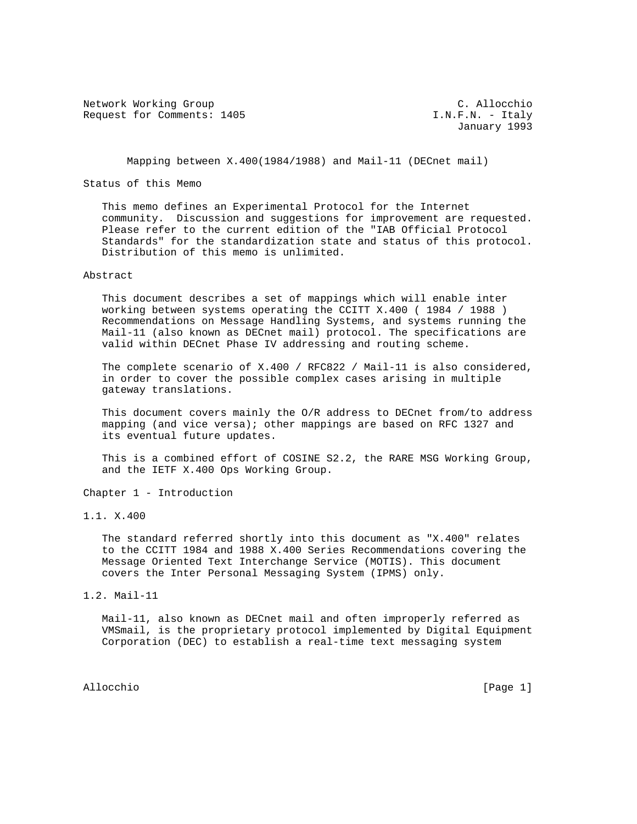Network Working Group C. Allocchio Request for Comments: 1405 **I.N.F.N. - Italy** 

January 1993

Mapping between X.400(1984/1988) and Mail-11 (DECnet mail)

Status of this Memo

 This memo defines an Experimental Protocol for the Internet community. Discussion and suggestions for improvement are requested. Please refer to the current edition of the "IAB Official Protocol Standards" for the standardization state and status of this protocol. Distribution of this memo is unlimited.

Abstract

 This document describes a set of mappings which will enable inter working between systems operating the CCITT X.400 ( 1984 / 1988 ) Recommendations on Message Handling Systems, and systems running the Mail-11 (also known as DECnet mail) protocol. The specifications are valid within DECnet Phase IV addressing and routing scheme.

 The complete scenario of X.400 / RFC822 / Mail-11 is also considered, in order to cover the possible complex cases arising in multiple gateway translations.

 This document covers mainly the O/R address to DECnet from/to address mapping (and vice versa); other mappings are based on RFC 1327 and its eventual future updates.

 This is a combined effort of COSINE S2.2, the RARE MSG Working Group, and the IETF X.400 Ops Working Group.

Chapter 1 - Introduction

1.1. X.400

 The standard referred shortly into this document as "X.400" relates to the CCITT 1984 and 1988 X.400 Series Recommendations covering the Message Oriented Text Interchange Service (MOTIS). This document covers the Inter Personal Messaging System (IPMS) only.

1.2. Mail-11

 Mail-11, also known as DECnet mail and often improperly referred as VMSmail, is the proprietary protocol implemented by Digital Equipment Corporation (DEC) to establish a real-time text messaging system

Allocchio [Page 1]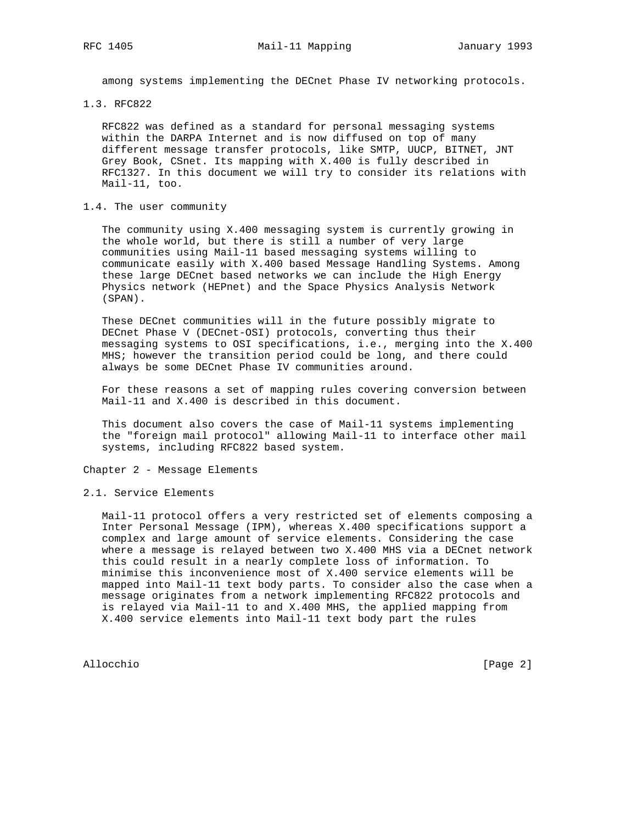among systems implementing the DECnet Phase IV networking protocols.

1.3. RFC822

 RFC822 was defined as a standard for personal messaging systems within the DARPA Internet and is now diffused on top of many different message transfer protocols, like SMTP, UUCP, BITNET, JNT Grey Book, CSnet. Its mapping with X.400 is fully described in RFC1327. In this document we will try to consider its relations with Mail-11, too.

### 1.4. The user community

 The community using X.400 messaging system is currently growing in the whole world, but there is still a number of very large communities using Mail-11 based messaging systems willing to communicate easily with X.400 based Message Handling Systems. Among these large DECnet based networks we can include the High Energy Physics network (HEPnet) and the Space Physics Analysis Network (SPAN).

 These DECnet communities will in the future possibly migrate to DECnet Phase V (DECnet-OSI) protocols, converting thus their messaging systems to OSI specifications, i.e., merging into the X.400 MHS; however the transition period could be long, and there could always be some DECnet Phase IV communities around.

 For these reasons a set of mapping rules covering conversion between Mail-11 and X.400 is described in this document.

 This document also covers the case of Mail-11 systems implementing the "foreign mail protocol" allowing Mail-11 to interface other mail systems, including RFC822 based system.

Chapter 2 - Message Elements

2.1. Service Elements

 Mail-11 protocol offers a very restricted set of elements composing a Inter Personal Message (IPM), whereas X.400 specifications support a complex and large amount of service elements. Considering the case where a message is relayed between two X.400 MHS via a DECnet network this could result in a nearly complete loss of information. To minimise this inconvenience most of X.400 service elements will be mapped into Mail-11 text body parts. To consider also the case when a message originates from a network implementing RFC822 protocols and is relayed via Mail-11 to and X.400 MHS, the applied mapping from X.400 service elements into Mail-11 text body part the rules

Allocchio [Page 2]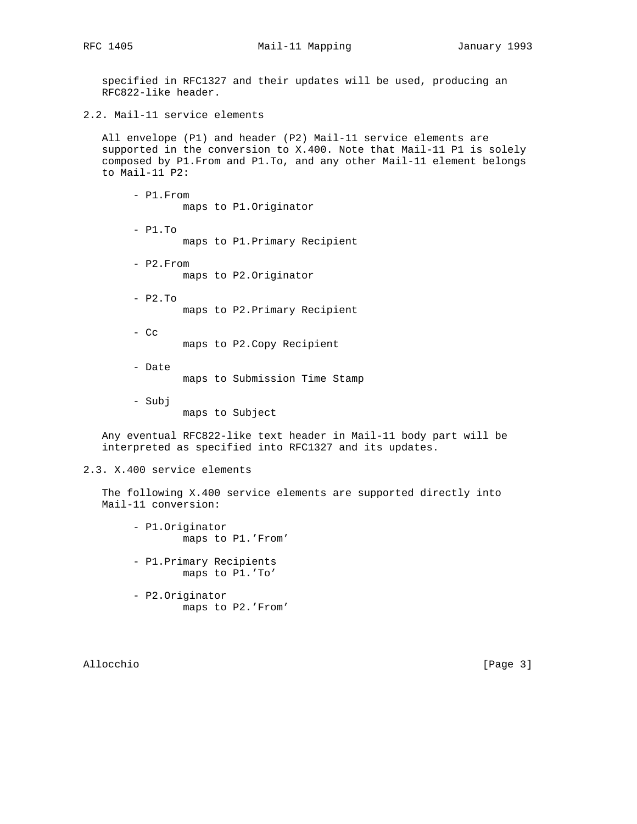specified in RFC1327 and their updates will be used, producing an RFC822-like header.

2.2. Mail-11 service elements

 All envelope (P1) and header (P2) Mail-11 service elements are supported in the conversion to X.400. Note that Mail-11 P1 is solely composed by P1.From and P1.To, and any other Mail-11 element belongs to Mail-11 P2:

 - P1.From maps to P1.Originator - P1.To maps to P1.Primary Recipient - P2.From maps to P2.Originator - P2.To maps to P2.Primary Recipient

- Cc maps to P2.Copy Recipient
- Date maps to Submission Time Stamp
- Subj
	- maps to Subject

 Any eventual RFC822-like text header in Mail-11 body part will be interpreted as specified into RFC1327 and its updates.

# 2.3. X.400 service elements

 The following X.400 service elements are supported directly into Mail-11 conversion:

- P1.Originator maps to P1.'From'
- P1.Primary Recipients maps to P1.'To'
- P2.Originator maps to P2.'From'

Allocchio [Page 3]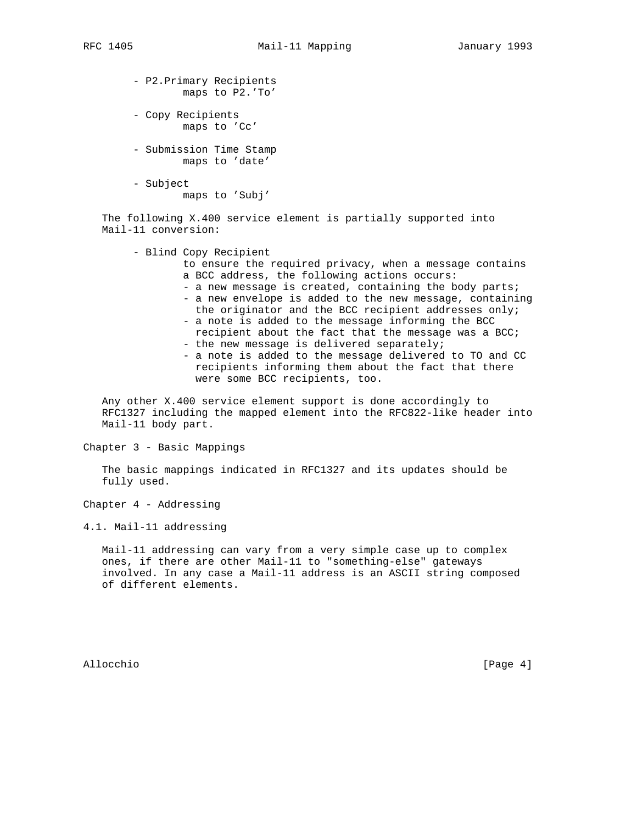- P2.Primary Recipients maps to P2.'To'
- Copy Recipients maps to 'Cc'
- Submission Time Stamp maps to 'date'
- Subject

maps to 'Subj'

 The following X.400 service element is partially supported into Mail-11 conversion:

- Blind Copy Recipient
	- to ensure the required privacy, when a message contains a BCC address, the following actions occurs:
	- a new message is created, containing the body parts;
	- a new envelope is added to the new message, containing the originator and the BCC recipient addresses only;
	- a note is added to the message informing the BCC recipient about the fact that the message was a BCC;
	- the new message is delivered separately;
	- a note is added to the message delivered to TO and CC recipients informing them about the fact that there were some BCC recipients, too.

 Any other X.400 service element support is done accordingly to RFC1327 including the mapped element into the RFC822-like header into Mail-11 body part.

Chapter 3 - Basic Mappings

 The basic mappings indicated in RFC1327 and its updates should be fully used.

Chapter 4 - Addressing

4.1. Mail-11 addressing

 Mail-11 addressing can vary from a very simple case up to complex ones, if there are other Mail-11 to "something-else" gateways involved. In any case a Mail-11 address is an ASCII string composed of different elements.

Allocchio [Page 4]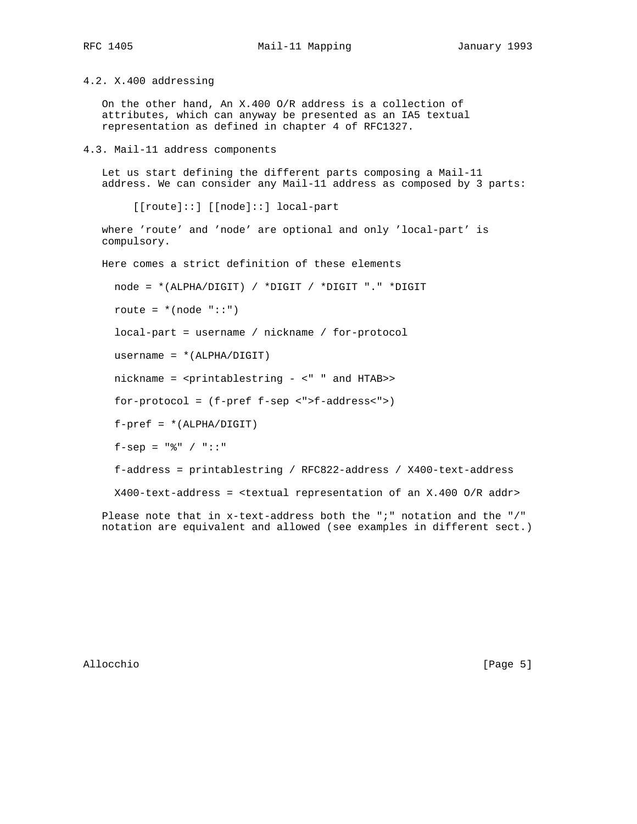RFC 1405 Mail-11 Mapping January 1993

4.2. X.400 addressing

 On the other hand, An X.400 O/R address is a collection of attributes, which can anyway be presented as an IA5 textual representation as defined in chapter 4 of RFC1327.

4.3. Mail-11 address components

 Let us start defining the different parts composing a Mail-11 address. We can consider any Mail-11 address as composed by 3 parts:

[[route]::] [[node]::] local-part

 where 'route' and 'node' are optional and only 'local-part' is compulsory.

Here comes a strict definition of these elements

node = \*(ALPHA/DIGIT) / \*DIGIT / \*DIGIT "." \*DIGIT

route =  $*(node "::")$ 

local-part = username / nickname / for-protocol

username = \*(ALPHA/DIGIT)

nickname = <printablestring - <" " and HTAB>>

for-protocol = (f-pref f-sep <">f-address<">)

 $f-pref = *(\text{ALPHA}/\text{DIGIT})$ 

f-sep =  $"$  \* / "::"

f-address = printablestring / RFC822-address / X400-text-address

X400-text-address = <textual representation of an X.400 O/R addr>

 Please note that in x-text-address both the ";" notation and the "/" notation are equivalent and allowed (see examples in different sect.)

Allocchio [Page 5]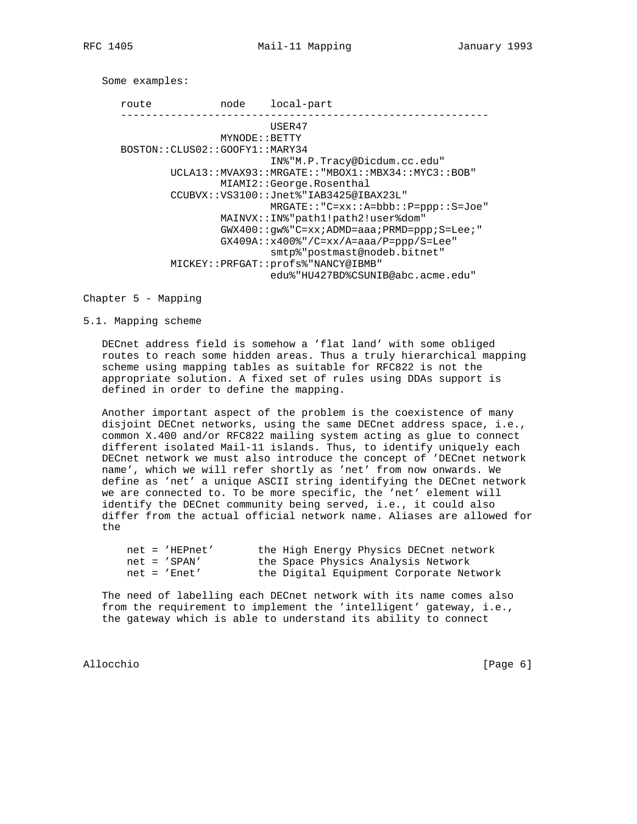Some examples:

 route node local-part ----------------------------------------------------------- USER47 MYNODE::BETTY BOSTON::CLUS02::GOOFY1::MARY34 IN%"M.P.Tracy@Dicdum.cc.edu" UCLA13::MVAX93::MRGATE::"MBOX1::MBX34::MYC3::BOB" MIAMI2::George.Rosenthal CCUBVX::VS3100::Jnet%"IAB3425@IBAX23L" MRGATE::"C=xx::A=bbb::P=ppp::S=Joe" MAINVX::IN%"path1!path2!user%dom" GWX400::gw%"C=xx;ADMD=aaa;PRMD=ppp;S=Lee;" GX409A::x400%"/C=xx/A=aaa/P=ppp/S=Lee" smtp%"postmast@nodeb.bitnet" MICKEY::PRFGAT::profs%"NANCY@IBMB" edu%"HU427BD%CSUNIB@abc.acme.edu"

Chapter 5 - Mapping

5.1. Mapping scheme

 DECnet address field is somehow a 'flat land' with some obliged routes to reach some hidden areas. Thus a truly hierarchical mapping scheme using mapping tables as suitable for RFC822 is not the appropriate solution. A fixed set of rules using DDAs support is defined in order to define the mapping.

 Another important aspect of the problem is the coexistence of many disjoint DECnet networks, using the same DECnet address space, i.e., common X.400 and/or RFC822 mailing system acting as glue to connect different isolated Mail-11 islands. Thus, to identify uniquely each DECnet network we must also introduce the concept of 'DECnet network name', which we will refer shortly as 'net' from now onwards. We define as 'net' a unique ASCII string identifying the DECnet network we are connected to. To be more specific, the 'net' element will identify the DECnet community being served, i.e., it could also differ from the actual official network name. Aliases are allowed for the

| $net = 'HEPnet'$ | the High Energy Physics DECnet network  |
|------------------|-----------------------------------------|
| $net = 'SPAN'$   | the Space Physics Analysis Network      |
| $net = 'Enet'$   | the Digital Equipment Corporate Network |

 The need of labelling each DECnet network with its name comes also from the requirement to implement the 'intelligent' gateway, i.e., the gateway which is able to understand its ability to connect

Allocchio in a controllation of the controllation of the controllation of the controllation of the controllation of  $[$  Page 6 $]$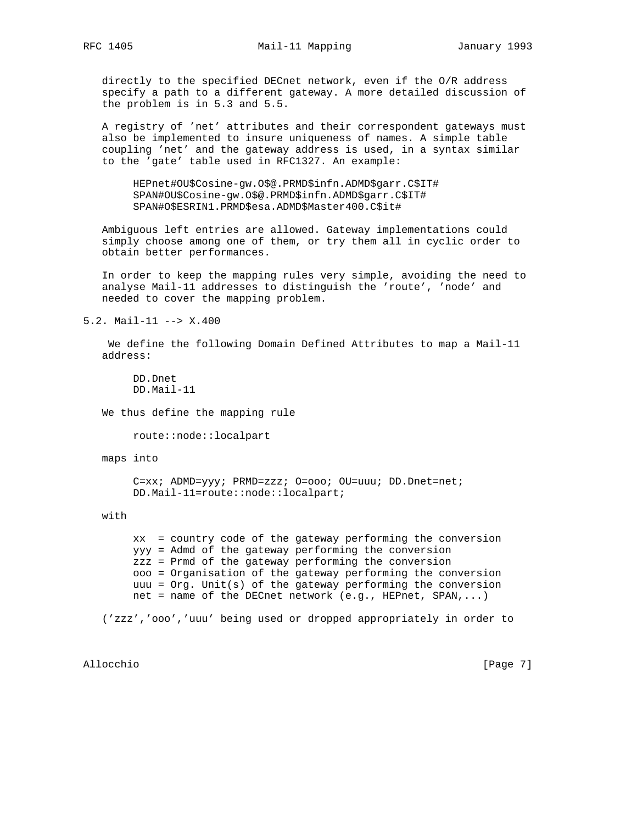directly to the specified DECnet network, even if the O/R address specify a path to a different gateway. A more detailed discussion of the problem is in 5.3 and 5.5.

 A registry of 'net' attributes and their correspondent gateways must also be implemented to insure uniqueness of names. A simple table coupling 'net' and the gateway address is used, in a syntax similar to the 'gate' table used in RFC1327. An example:

 HEPnet#OU\$Cosine-gw.O\$@.PRMD\$infn.ADMD\$garr.C\$IT# SPAN#OU\$Cosine-gw.O\$@.PRMD\$infn.ADMD\$garr.C\$IT# SPAN#O\$ESRIN1.PRMD\$esa.ADMD\$Master400.C\$it#

 Ambiguous left entries are allowed. Gateway implementations could simply choose among one of them, or try them all in cyclic order to obtain better performances.

 In order to keep the mapping rules very simple, avoiding the need to analyse Mail-11 addresses to distinguish the 'route', 'node' and needed to cover the mapping problem.

5.2. Mail-11 --> X.400

 We define the following Domain Defined Attributes to map a Mail-11 address:

 DD.Dnet DD.Mail-11

We thus define the mapping rule

route::node::localpart

maps into

 C=xx; ADMD=yyy; PRMD=zzz; O=ooo; OU=uuu; DD.Dnet=net; DD.Mail-11=route::node::localpart;

with

 xx = country code of the gateway performing the conversion yyy = Admd of the gateway performing the conversion zzz = Prmd of the gateway performing the conversion ooo = Organisation of the gateway performing the conversion uuu =  $Org.$  Unit(s) of the gateway performing the conversion net = name of the DECnet network (e.g., HEPnet, SPAN,...)

('zzz','ooo','uuu' being used or dropped appropriately in order to

Allocchio in a controllation of the controllation of the controllation of the controllation of the controllation of  $[$  Page 7 $]$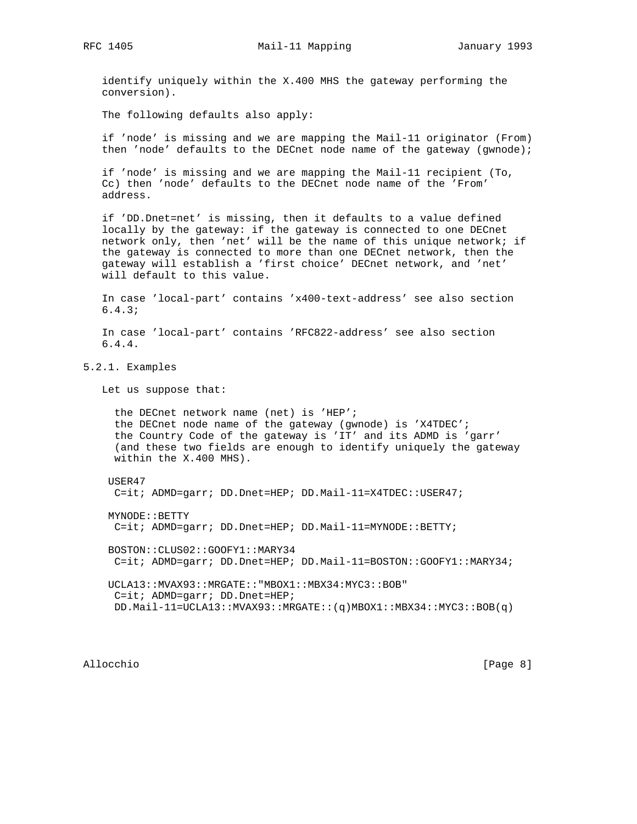identify uniquely within the X.400 MHS the gateway performing the conversion).

The following defaults also apply:

 if 'node' is missing and we are mapping the Mail-11 originator (From) then 'node' defaults to the DECnet node name of the gateway (gwnode);

 if 'node' is missing and we are mapping the Mail-11 recipient (To, Cc) then 'node' defaults to the DECnet node name of the 'From' address.

 if 'DD.Dnet=net' is missing, then it defaults to a value defined locally by the gateway: if the gateway is connected to one DECnet network only, then 'net' will be the name of this unique network; if the gateway is connected to more than one DECnet network, then the gateway will establish a 'first choice' DECnet network, and 'net' will default to this value.

 In case 'local-part' contains 'x400-text-address' see also section 6.4.3;

 In case 'local-part' contains 'RFC822-address' see also section 6.4.4.

5.2.1. Examples

Let us suppose that:

 the DECnet network name (net) is 'HEP'; the DECnet node name of the gateway (gwnode) is 'X4TDEC'; the Country Code of the gateway is 'IT' and its ADMD is 'garr' (and these two fields are enough to identify uniquely the gateway within the X.400 MHS).

#### USER47

C=it; ADMD=garr; DD.Dnet=HEP; DD.Mail-11=X4TDEC::USER47;

MYNODE::BETTY

C=it; ADMD=garr; DD.Dnet=HEP; DD.Mail-11=MYNODE::BETTY;

 BOSTON::CLUS02::GOOFY1::MARY34 C=it; ADMD=garr; DD.Dnet=HEP; DD.Mail-11=BOSTON::GOOFY1::MARY34;

 UCLA13::MVAX93::MRGATE::"MBOX1::MBX34:MYC3::BOB" C=it; ADMD=garr; DD.Dnet=HEP; DD.Mail-11=UCLA13::MVAX93::MRGATE::(q)MBOX1::MBX34::MYC3::BOB(q)

Allocchio [Page 8]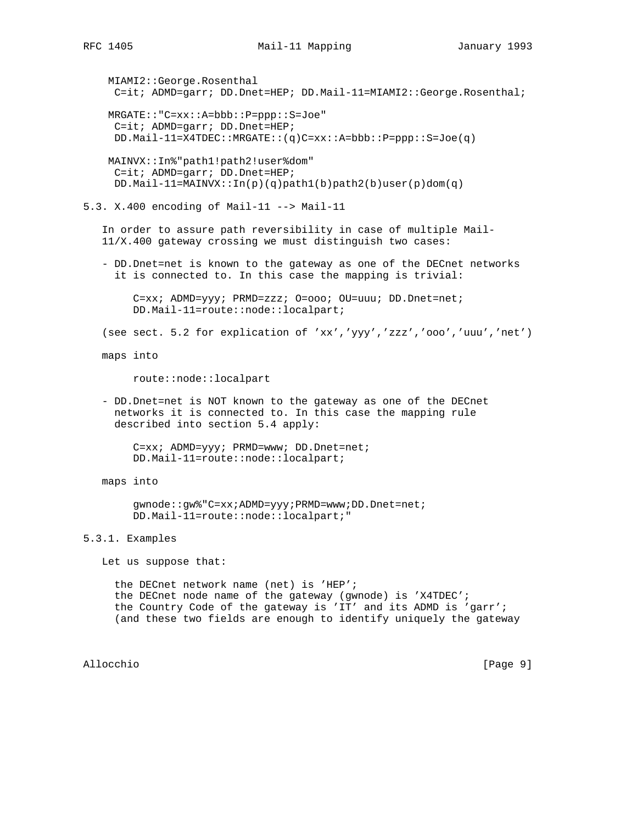### RFC 1405 Mail-11 Mapping January 1993

 MIAMI2::George.Rosenthal C=it; ADMD=garr; DD.Dnet=HEP; DD.Mail-11=MIAMI2::George.Rosenthal; MRGATE::"C=xx::A=bbb::P=ppp::S=Joe" C=it; ADMD=garr; DD.Dnet=HEP; DD.Mail-11=X4TDEC::MRGATE::(q)C=xx::A=bbb::P=ppp::S=Joe(q) MAINVX::In%"path1!path2!user%dom" C=it; ADMD=garr; DD.Dnet=HEP; DD.Mail-11=MAINVX:: $In(p)(q) path1(b) path2(b) user(p) dom(q)$ 5.3. X.400 encoding of Mail-11 --> Mail-11 In order to assure path reversibility in case of multiple Mail- 11/X.400 gateway crossing we must distinguish two cases: - DD.Dnet=net is known to the gateway as one of the DECnet networks it is connected to. In this case the mapping is trivial: C=xx; ADMD=yyy; PRMD=zzz; O=ooo; OU=uuu; DD.Dnet=net; DD.Mail-11=route::node::localpart; (see sect. 5.2 for explication of 'xx','yyy','zzz','ooo','uuu','net') maps into route::node::localpart - DD.Dnet=net is NOT known to the gateway as one of the DECnet networks it is connected to. In this case the mapping rule described into section 5.4 apply: C=xx; ADMD=yyy; PRMD=www; DD.Dnet=net; DD.Mail-11=route::node::localpart; maps into gwnode::gw%"C=xx;ADMD=yyy;PRMD=www;DD.Dnet=net; DD.Mail-11=route::node::localpart;" 5.3.1. Examples Let us suppose that: the DECnet network name (net) is 'HEP'; the DECnet node name of the gateway (gwnode) is 'X4TDEC'; the Country Code of the gateway is 'IT' and its ADMD is 'garr'; (and these two fields are enough to identify uniquely the gateway

Allocchio [Page 9]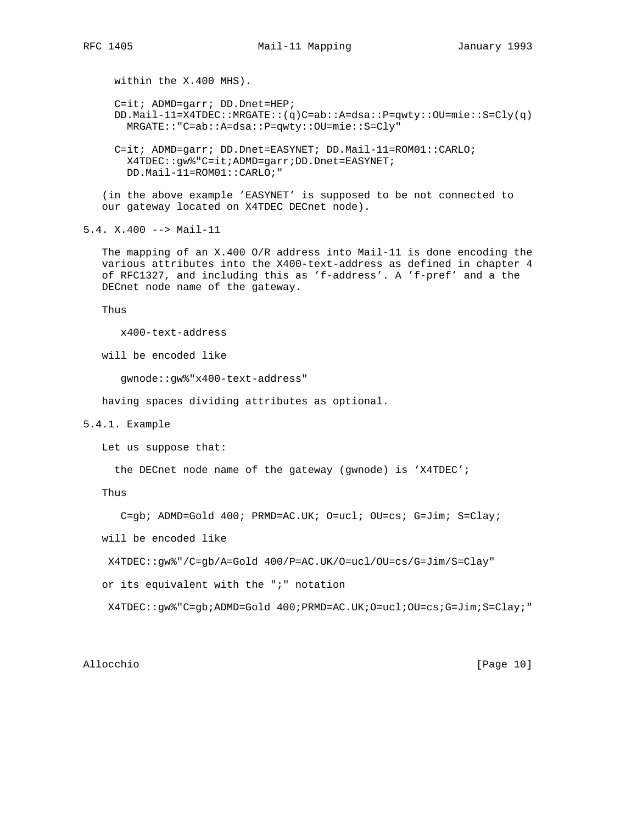within the X.400 MHS). C=it; ADMD=garr; DD.Dnet=HEP; DD.Mail-11=X4TDEC::MRGATE::(q)C=ab::A=dsa::P=qwty::OU=mie::S=Cly(q) MRGATE::"C=ab::A=dsa::P=qwty::OU=mie::S=Cly" C=it; ADMD=garr; DD.Dnet=EASYNET; DD.Mail-11=ROM01::CARLO;

 X4TDEC::gw%"C=it;ADMD=garr;DD.Dnet=EASYNET; DD.Mail-11=ROM01::CARLO;"

 (in the above example 'EASYNET' is supposed to be not connected to our gateway located on X4TDEC DECnet node).

5.4. X.400 --> Mail-11

 The mapping of an X.400 O/R address into Mail-11 is done encoding the various attributes into the X400-text-address as defined in chapter 4 of RFC1327, and including this as 'f-address'. A 'f-pref' and a the DECnet node name of the gateway.

Thus

x400-text-address

will be encoded like

gwnode::gw%"x400-text-address"

having spaces dividing attributes as optional.

## 5.4.1. Example

Let us suppose that:

the DECnet node name of the gateway (gwnode) is 'X4TDEC';

Thus

C=gb; ADMD=Gold 400; PRMD=AC.UK; O=ucl; OU=cs; G=Jim; S=Clay;

will be encoded like

X4TDEC::gw%"/C=gb/A=Gold 400/P=AC.UK/O=ucl/OU=cs/G=Jim/S=Clay"

or its equivalent with the ";" notation

X4TDEC::gw%"C=gb;ADMD=Gold 400;PRMD=AC.UK;O=ucl;OU=cs;G=Jim;S=Clay;"

Allocchio [Page 10]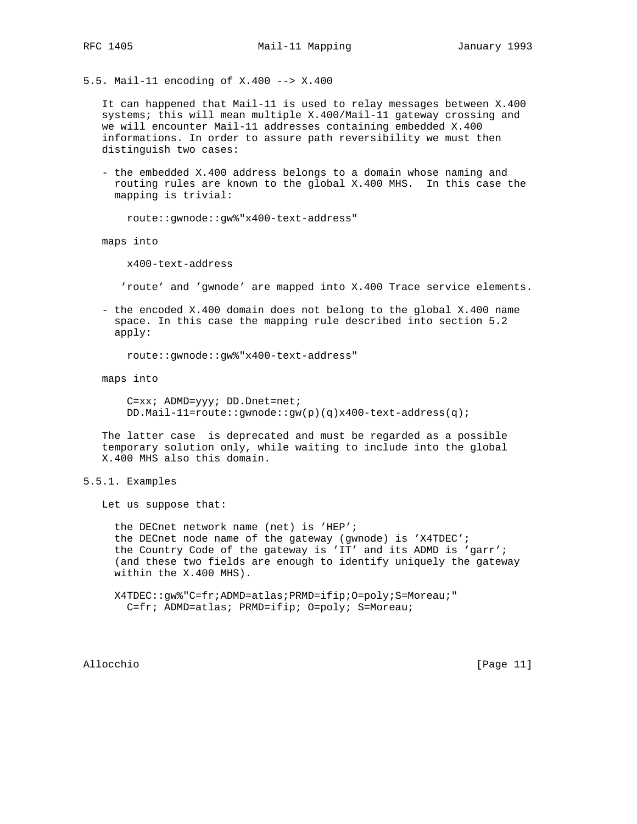5.5. Mail-11 encoding of X.400 --> X.400

 It can happened that Mail-11 is used to relay messages between X.400 systems; this will mean multiple X.400/Mail-11 gateway crossing and we will encounter Mail-11 addresses containing embedded X.400 informations. In order to assure path reversibility we must then distinguish two cases:

 - the embedded X.400 address belongs to a domain whose naming and routing rules are known to the global X.400 MHS. In this case the mapping is trivial:

route::gwnode::gw%"x400-text-address"

maps into

x400-text-address

'route' and 'gwnode' are mapped into X.400 Trace service elements.

 - the encoded X.400 domain does not belong to the global X.400 name space. In this case the mapping rule described into section 5.2 apply:

route::gwnode::gw%"x400-text-address"

maps into

 C=xx; ADMD=yyy; DD.Dnet=net; DD.Mail-11=route::gwnode::gw(p)(q)x400-text-address(q);

 The latter case is deprecated and must be regarded as a possible temporary solution only, while waiting to include into the global X.400 MHS also this domain.

5.5.1. Examples

Let us suppose that:

 the DECnet network name (net) is 'HEP'; the DECnet node name of the gateway (gwnode) is 'X4TDEC'; the Country Code of the gateway is 'IT' and its ADMD is 'garr'; (and these two fields are enough to identify uniquely the gateway within the X.400 MHS).

 X4TDEC::gw%"C=fr;ADMD=atlas;PRMD=ifip;O=poly;S=Moreau;" C=fr; ADMD=atlas; PRMD=ifip; O=poly; S=Moreau;

Allocchio [Page 11]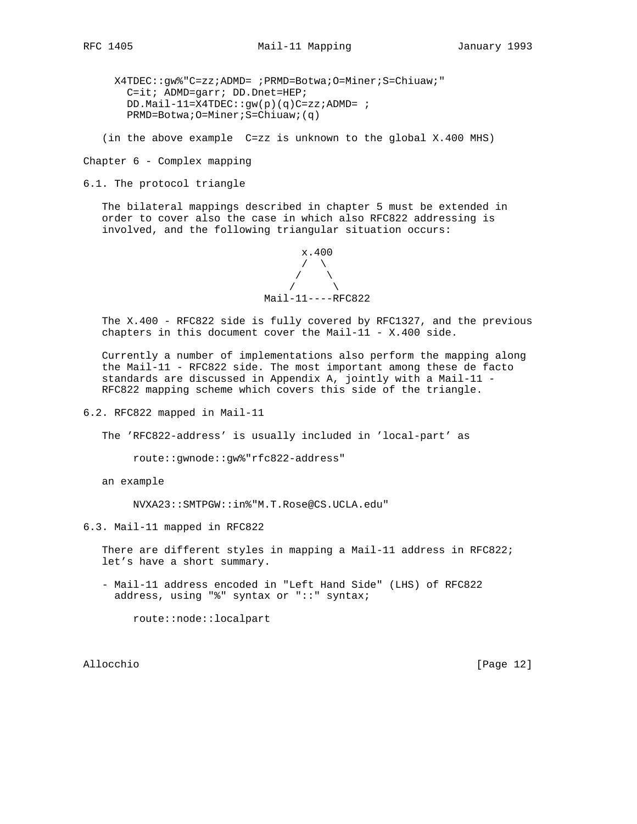X4TDEC::gw%"C=zz;ADMD= ;PRMD=Botwa;O=Miner;S=Chiuaw;" C=it; ADMD=garr; DD.Dnet=HEP; DD.Mail-11=X4TDEC::gw(p)(q)C=zz;ADMD= ; PRMD=Botwa;O=Miner;S=Chiuaw;(q)

(in the above example C=zz is unknown to the global X.400 MHS)

Chapter 6 - Complex mapping

6.1. The protocol triangle

 The bilateral mappings described in chapter 5 must be extended in order to cover also the case in which also RFC822 addressing is involved, and the following triangular situation occurs:



 The X.400 - RFC822 side is fully covered by RFC1327, and the previous chapters in this document cover the Mail-11 - X.400 side.

 Currently a number of implementations also perform the mapping along the Mail-11 - RFC822 side. The most important among these de facto standards are discussed in Appendix A, jointly with a Mail-11 - RFC822 mapping scheme which covers this side of the triangle.

6.2. RFC822 mapped in Mail-11

The 'RFC822-address' is usually included in 'local-part' as

route::gwnode::gw%"rfc822-address"

an example

NVXA23::SMTPGW::in%"M.T.Rose@CS.UCLA.edu"

6.3. Mail-11 mapped in RFC822

There are different styles in mapping a Mail-11 address in RFC822; let's have a short summary.

 - Mail-11 address encoded in "Left Hand Side" (LHS) of RFC822 address, using "%" syntax or "::" syntax;

route::node::localpart

Allocchio [Page 12]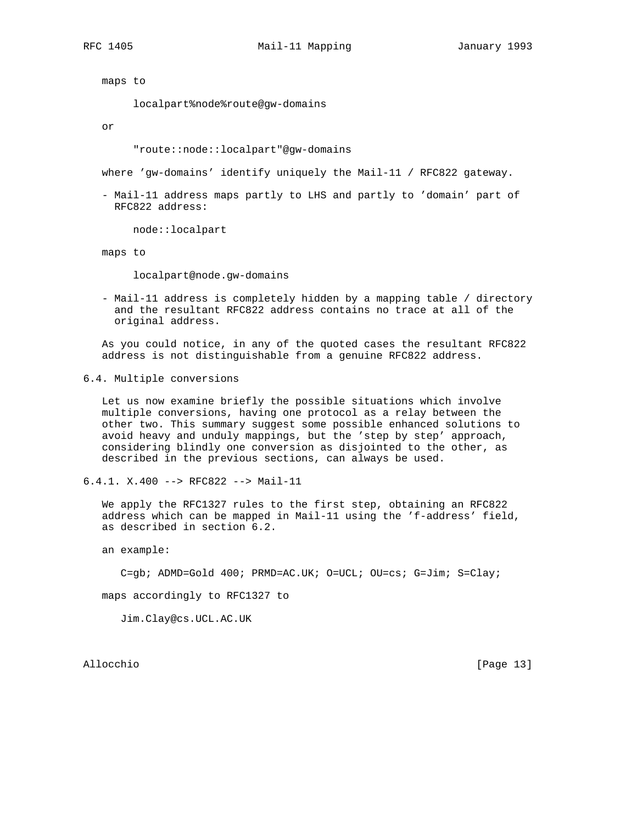maps to

localpart%node%route@gw-domains

or

"route::node::localpart"@gw-domains

where 'gw-domains' identify uniquely the Mail-11 / RFC822 gateway.

 - Mail-11 address maps partly to LHS and partly to 'domain' part of RFC822 address:

node::localpart

maps to

localpart@node.gw-domains

 - Mail-11 address is completely hidden by a mapping table / directory and the resultant RFC822 address contains no trace at all of the original address.

 As you could notice, in any of the quoted cases the resultant RFC822 address is not distinguishable from a genuine RFC822 address.

6.4. Multiple conversions

 Let us now examine briefly the possible situations which involve multiple conversions, having one protocol as a relay between the other two. This summary suggest some possible enhanced solutions to avoid heavy and unduly mappings, but the 'step by step' approach, considering blindly one conversion as disjointed to the other, as described in the previous sections, can always be used.

6.4.1. X.400 --> RFC822 --> Mail-11

 We apply the RFC1327 rules to the first step, obtaining an RFC822 address which can be mapped in Mail-11 using the 'f-address' field, as described in section 6.2.

an example:

C=gb; ADMD=Gold 400; PRMD=AC.UK; O=UCL; OU=cs; G=Jim; S=Clay;

maps accordingly to RFC1327 to

Jim.Clay@cs.UCL.AC.UK

Allocchio [Page 13]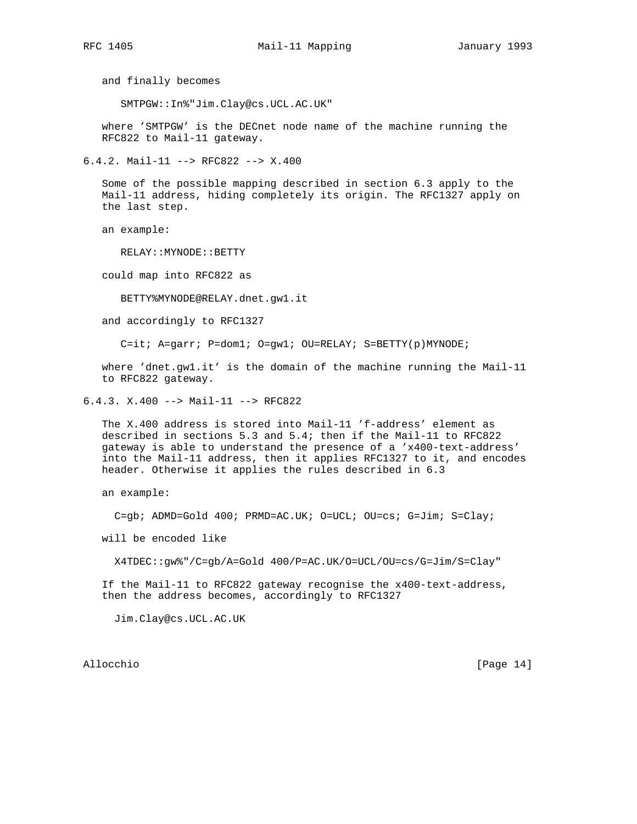and finally becomes

SMTPGW::In%"Jim.Clay@cs.UCL.AC.UK"

 where 'SMTPGW' is the DECnet node name of the machine running the RFC822 to Mail-11 gateway.

6.4.2. Mail-11 --> RFC822 --> X.400

 Some of the possible mapping described in section 6.3 apply to the Mail-11 address, hiding completely its origin. The RFC1327 apply on the last step.

an example:

RELAY::MYNODE::BETTY

could map into RFC822 as

BETTY%MYNODE@RELAY.dnet.gw1.it

and accordingly to RFC1327

C=it; A=garr; P=dom1; O=gw1; OU=RELAY; S=BETTY(p)MYNODE;

 where 'dnet.gw1.it' is the domain of the machine running the Mail-11 to RFC822 gateway.

6.4.3. X.400 --> Mail-11 --> RFC822

 The X.400 address is stored into Mail-11 'f-address' element as described in sections 5.3 and 5.4; then if the Mail-11 to RFC822 gateway is able to understand the presence of a 'x400-text-address' into the Mail-11 address, then it applies RFC1327 to it, and encodes header. Otherwise it applies the rules described in 6.3

an example:

C=gb; ADMD=Gold 400; PRMD=AC.UK; O=UCL; OU=cs; G=Jim; S=Clay;

will be encoded like

X4TDEC::gw%"/C=gb/A=Gold 400/P=AC.UK/O=UCL/OU=cs/G=Jim/S=Clay"

 If the Mail-11 to RFC822 gateway recognise the x400-text-address, then the address becomes, accordingly to RFC1327

Jim.Clay@cs.UCL.AC.UK

Allocchio [Page 14]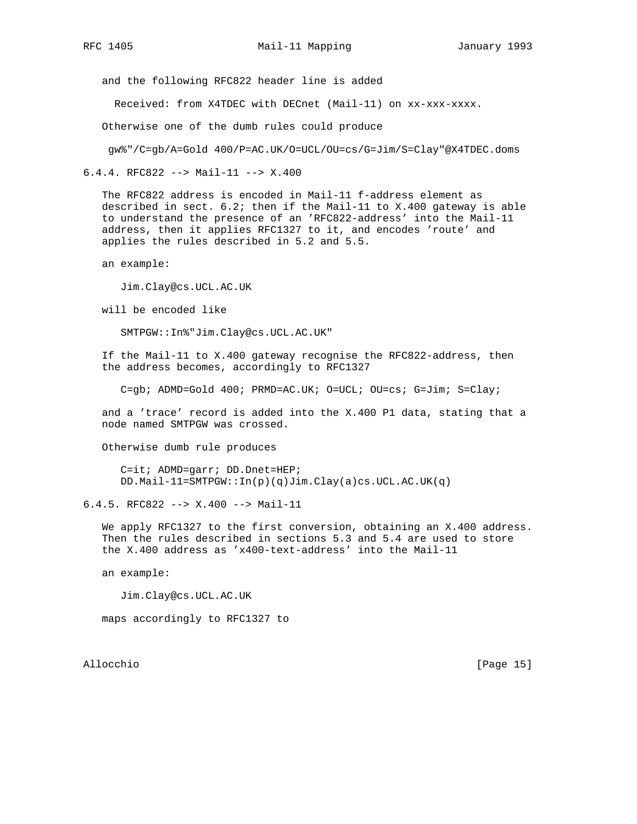and the following RFC822 header line is added

Received: from X4TDEC with DECnet (Mail-11) on xx-xxx-xxxx.

Otherwise one of the dumb rules could produce

gw%"/C=gb/A=Gold 400/P=AC.UK/O=UCL/OU=cs/G=Jim/S=Clay"@X4TDEC.doms

6.4.4. RFC822 --> Mail-11 --> X.400

 The RFC822 address is encoded in Mail-11 f-address element as described in sect.  $6.2$ ; then if the Mail-11 to X.400 gateway is able to understand the presence of an 'RFC822-address' into the Mail-11 address, then it applies RFC1327 to it, and encodes 'route' and applies the rules described in 5.2 and 5.5.

an example:

Jim.Clay@cs.UCL.AC.UK

will be encoded like

SMTPGW::In%"Jim.Clay@cs.UCL.AC.UK"

 If the Mail-11 to X.400 gateway recognise the RFC822-address, then the address becomes, accordingly to RFC1327

C=qb; ADMD=Gold 400; PRMD=AC.UK; O=UCL; OU=cs; G=Jim; S=Clay;

 and a 'trace' record is added into the X.400 P1 data, stating that a node named SMTPGW was crossed.

Otherwise dumb rule produces

 C=it; ADMD=garr; DD.Dnet=HEP; DD.Mail-11=SMTPGW::In(p)(q)Jim.Clay(a)cs.UCL.AC.UK(q)

6.4.5. RFC822 --> X.400 --> Mail-11

 We apply RFC1327 to the first conversion, obtaining an X.400 address. Then the rules described in sections 5.3 and 5.4 are used to store the X.400 address as 'x400-text-address' into the Mail-11

an example:

Jim.Clay@cs.UCL.AC.UK

maps accordingly to RFC1327 to

Allocchio [Page 15]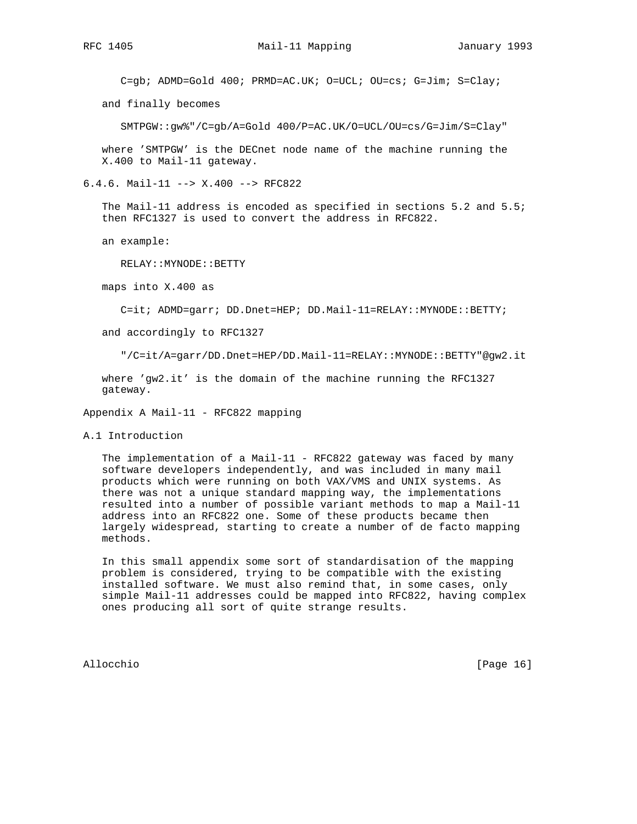C=gb; ADMD=Gold 400; PRMD=AC.UK; O=UCL; OU=cs; G=Jim; S=Clay;

and finally becomes

SMTPGW::gw%"/C=gb/A=Gold 400/P=AC.UK/O=UCL/OU=cs/G=Jim/S=Clay"

 where 'SMTPGW' is the DECnet node name of the machine running the X.400 to Mail-11 gateway.

6.4.6. Mail-11 --> X.400 --> RFC822

 The Mail-11 address is encoded as specified in sections 5.2 and 5.5; then RFC1327 is used to convert the address in RFC822.

an example:

RELAY::MYNODE::BETTY

maps into X.400 as

C=it; ADMD=garr; DD.Dnet=HEP; DD.Mail-11=RELAY::MYNODE::BETTY;

and accordingly to RFC1327

"/C=it/A=garr/DD.Dnet=HEP/DD.Mail-11=RELAY::MYNODE::BETTY"@gw2.it

 where 'gw2.it' is the domain of the machine running the RFC1327 gateway.

Appendix A Mail-11 - RFC822 mapping

A.1 Introduction

The implementation of a Mail-11 - RFC822 gateway was faced by many software developers independently, and was included in many mail products which were running on both VAX/VMS and UNIX systems. As there was not a unique standard mapping way, the implementations resulted into a number of possible variant methods to map a Mail-11 address into an RFC822 one. Some of these products became then largely widespread, starting to create a number of de facto mapping methods.

 In this small appendix some sort of standardisation of the mapping problem is considered, trying to be compatible with the existing installed software. We must also remind that, in some cases, only simple Mail-11 addresses could be mapped into RFC822, having complex ones producing all sort of quite strange results.

Allocchio [Page 16]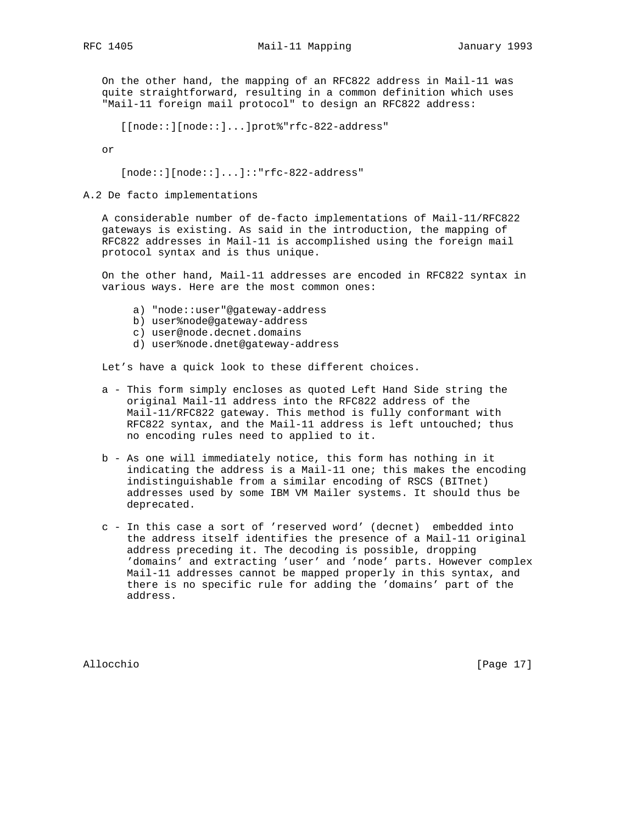On the other hand, the mapping of an RFC822 address in Mail-11 was quite straightforward, resulting in a common definition which uses "Mail-11 foreign mail protocol" to design an RFC822 address:

[[node::][node::]...]prot%"rfc-822-address"

or

[node::][node::]...]::"rfc-822-address"

A.2 De facto implementations

 A considerable number of de-facto implementations of Mail-11/RFC822 gateways is existing. As said in the introduction, the mapping of RFC822 addresses in Mail-11 is accomplished using the foreign mail protocol syntax and is thus unique.

 On the other hand, Mail-11 addresses are encoded in RFC822 syntax in various ways. Here are the most common ones:

- a) "node::user"@gateway-address
- b) user%node@gateway-address
- c) user@node.decnet.domains
- d) user%node.dnet@gateway-address

Let's have a quick look to these different choices.

- a This form simply encloses as quoted Left Hand Side string the original Mail-11 address into the RFC822 address of the Mail-11/RFC822 gateway. This method is fully conformant with RFC822 syntax, and the Mail-11 address is left untouched; thus no encoding rules need to applied to it.
- b As one will immediately notice, this form has nothing in it indicating the address is a Mail-11 one; this makes the encoding indistinguishable from a similar encoding of RSCS (BITnet) addresses used by some IBM VM Mailer systems. It should thus be deprecated.
- c In this case a sort of 'reserved word' (decnet) embedded into the address itself identifies the presence of a Mail-11 original address preceding it. The decoding is possible, dropping 'domains' and extracting 'user' and 'node' parts. However complex Mail-11 addresses cannot be mapped properly in this syntax, and there is no specific rule for adding the 'domains' part of the address.

Allocchio [Page 17]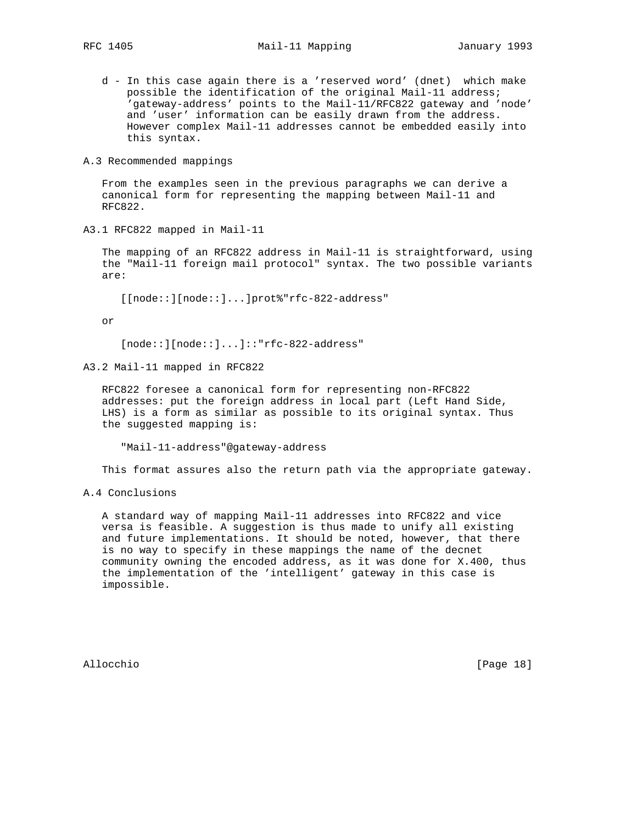- d In this case again there is a 'reserved word' (dnet) which make possible the identification of the original Mail-11 address; 'gateway-address' points to the Mail-11/RFC822 gateway and 'node' and 'user' information can be easily drawn from the address. However complex Mail-11 addresses cannot be embedded easily into this syntax.
- A.3 Recommended mappings

 From the examples seen in the previous paragraphs we can derive a canonical form for representing the mapping between Mail-11 and RFC822.

A3.1 RFC822 mapped in Mail-11

 The mapping of an RFC822 address in Mail-11 is straightforward, using the "Mail-11 foreign mail protocol" syntax. The two possible variants are:

[[node::][node::]...]prot%"rfc-822-address"

or

[node::][node::]...]::"rfc-822-address"

A3.2 Mail-11 mapped in RFC822

 RFC822 foresee a canonical form for representing non-RFC822 addresses: put the foreign address in local part (Left Hand Side, LHS) is a form as similar as possible to its original syntax. Thus the suggested mapping is:

"Mail-11-address"@gateway-address

This format assures also the return path via the appropriate gateway.

A.4 Conclusions

 A standard way of mapping Mail-11 addresses into RFC822 and vice versa is feasible. A suggestion is thus made to unify all existing and future implementations. It should be noted, however, that there is no way to specify in these mappings the name of the decnet community owning the encoded address, as it was done for X.400, thus the implementation of the 'intelligent' gateway in this case is impossible.

Allocchio [Page 18]